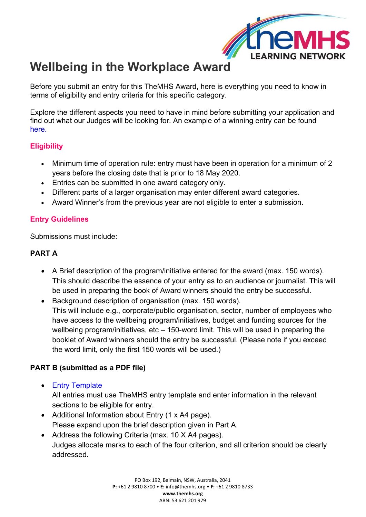

# **Wellbeing in the Workplace Award**

Before you submit an entry for this TheMHS Award, here is everything you need to know in terms of eligibility and entry criteria for this specific category.

Explore the different aspects you need to have in mind before submitting your application and find out what our Judges will be looking for. An example of a winning entry can be found [here](https://www.themhs.org/wp-content/uploads/2022/01/WITW_Air-New-Zealand-2021_Entry-Template-Wellbeing-in-the-Workplace-Award.pdf).

#### **Eligibility**

- Minimum time of operation rule: entry must have been in operation for a minimum of 2 years before the closing date that is prior to 18 May 2020.
- Entries can be submitted in one award category only.
- Different parts of a larger organisation may enter different award categories.
- Award Winner's from the previous year are not eligible to enter a submission.

### **Entry Guidelines**

Submissions must include:

#### **PART A**

- A Brief description of the program/initiative entered for the award (max. 150 words). This should describe the essence of your entry as to an audience or journalist. This will be used in preparing the book of Award winners should the entry be successful.
- Background description of organisation (max. 150 words). This will include e.g., corporate/public organisation, sector, number of employees who have access to the wellbeing program/initiatives, budget and funding sources for the wellbeing program/initiatives,  $etc - 150$ -word limit. This will be used in preparing the booklet of Award winners should the entry be successful. (Please note if you exceed the word limit, only the first 150 words will be used.)

## **PART B (submitted as a PDF file)**

- [Entry Template](https://www.themhs.org/wp-content/uploads/2022/01/Entry-Template-Wellbeing-in-the-Workplace-Award.docx) All entries must use TheMHS entry template and enter information in the relevant sections to be eligible for entry.
- Additional Information about Entry (1 x A4 page). Please expand upon the brief description given in Part A.
- Address the following Criteria (max. 10 X A4 pages). Judges allocate marks to each of the four criterion, and all criterion should be clearly addressed.